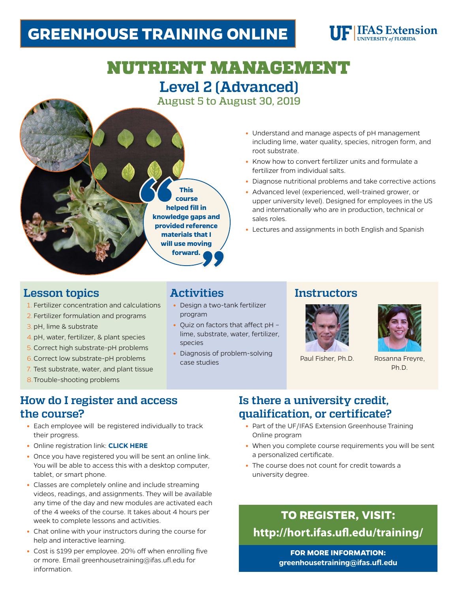## **GREENHOUSE TRAINING ONLINE**



# NUTRIENT MANAGEMENT **Level 2 (Advanced)**

August 5 to August 30, 2019



- **•** Understand and manage aspects of pH management including lime, water quality, species, nitrogen form, and root substrate.
- **•** Know how to convert fertilizer units and formulate a fertilizer from individual salts.
- **•** Diagnose nutritional problems and take corrective actions
- **•** Advanced level (experienced, well-trained grower, or upper university level). Designed for employees in the US and internationally who are in production, technical or sales roles.
- **•** Lectures and assignments in both English and Spanish

#### **Lesson topics**

- 1. Fertilizer concentration and calculations
- 2. Fertilizer formulation and programs
- 3.pH, lime & substrate
- 4.pH, water, fertilizer, & plant species
- 5.Correct high substrate-pH problems
- 6.Correct low substrate-pH problems
- 7. Test substrate, water, and plant tissue
- 8.Trouble-shooting problems

#### **Activities**

- **•** Design a two-tank fertilizer program
- **•** Quiz on factors that affect pH lime, substrate, water, fertilizer, species
- **•** Diagnosis of problem-solving case studies Paul Fisher, Ph.D. Rosanna Freyre,

#### **Instructors**





Ph.D.

#### **How do I register and access the course?**

- **•** Each employee will be registered individually to track their progress.
- **•** Online registration link: **[CLICK HERE](http://hort.ifas.ufl.edu/training/)**
- **•** Once you have registered you will be sent an online link. You will be able to access this with a desktop computer, tablet, or smart phone.
- **•** Classes are completely online and include streaming videos, readings, and assignments. They will be available any time of the day and new modules are activated each of the 4 weeks of the course. It takes about 4 hours per week to complete lessons and activities.
- **•** Chat online with your instructors during the course for help and interactive learning.
- **•** Cost is \$199 per employee. 20% off when enrolling five or more. Email greenhousetraining@ifas.ufl.edu for information.

### **Is there a university credit, qualification, or certificate?**

- **•** Part of the UF/IFAS Extension Greenhouse Training Online program
- **•** When you complete course requirements you will be sent a personalized certificate.
- **•** The course does not count for credit towards a university degree.

### **TO REGISTER, VISIT: <http://hort.ifas.ufl.edu/training/>**

**FOR MORE INFORMATION: greenhousetraining@ifas.ufl.edu**